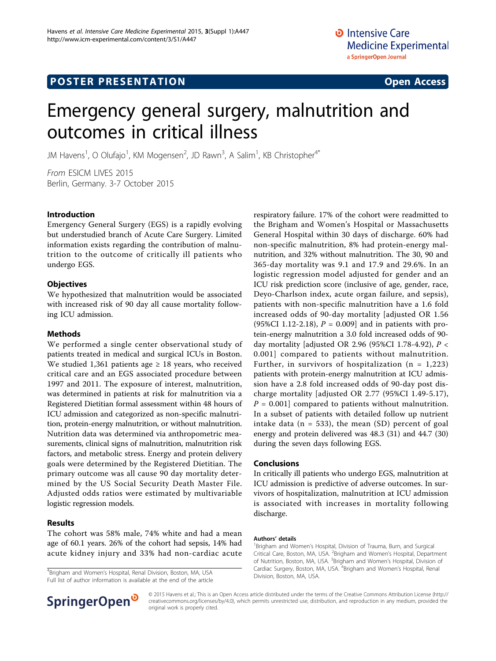# **POSTER PRESENTATION CONSUMING THE SERVICE SERVICE SERVICES**

# Emergency general surgery, malnutrition and outcomes in critical illness

JM Havens<sup>1</sup>, O Olufajo<sup>1</sup>, KM Mogensen<sup>2</sup>, JD Rawn<sup>3</sup>, A Salim<sup>1</sup>, KB Christopher<sup>4\*</sup>

From ESICM LIVES 2015 Berlin, Germany. 3-7 October 2015

## Introduction

Emergency General Surgery (EGS) is a rapidly evolving but understudied branch of Acute Care Surgery. Limited information exists regarding the contribution of malnutrition to the outcome of critically ill patients who undergo EGS.

## **Objectives**

We hypothesized that malnutrition would be associated with increased risk of 90 day all cause mortality following ICU admission.

#### Methods

We performed a single center observational study of patients treated in medical and surgical ICUs in Boston. We studied 1,361 patients age  $\geq$  18 years, who received critical care and an EGS associated procedure between 1997 and 2011. The exposure of interest, malnutrition, was determined in patients at risk for malnutrition via a Registered Dietitian formal assessment within 48 hours of ICU admission and categorized as non-specific malnutrition, protein-energy malnutrition, or without malnutrition. Nutrition data was determined via anthropometric measurements, clinical signs of malnutrition, malnutrition risk factors, and metabolic stress. Energy and protein delivery goals were determined by the Registered Dietitian. The primary outcome was all cause 90 day mortality determined by the US Social Security Death Master File. Adjusted odds ratios were estimated by multivariable logistic regression models.

#### Results

The cohort was 58% male, 74% white and had a mean age of 60.1 years. 26% of the cohort had sepsis, 14% had acute kidney injury and 33% had non-cardiac acute

<sup>4</sup>Brigham and Women's Hospital, Renal Division, Boston, MA, USA Full list of author information is available at the end of the article



## Conclusions

In critically ill patients who undergo EGS, malnutrition at ICU admission is predictive of adverse outcomes. In survivors of hospitalization, malnutrition at ICU admission is associated with increases in mortality following discharge.

#### Authors' details <sup>1</sup>

Brigham and Women's Hospital, Division of Trauma, Burn, and Surgical Critical Care, Boston, MA, USA. <sup>2</sup>Brigham and Women's Hospital, Department of Nutrition, Boston, MA, USA. <sup>3</sup>Brigham and Women's Hospital, Division of Cardiac Surgery, Boston, MA, USA. <sup>4</sup>Brigham and Women's Hospital, Renal Division, Boston, MA, USA.



© 2015 Havens et al.; This is an Open Access article distributed under the terms of the Creative Commons Attribution License [\(http://](http://creativecommons.org/licenses/by/4.0) [creativecommons.org/licenses/by/4.0](http://creativecommons.org/licenses/by/4.0)), which permits unrestricted use, distribution, and reproduction in any medium, provided the original work is properly cited.